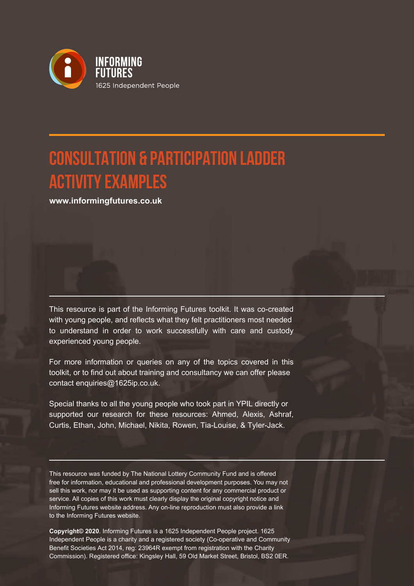

## **CONSULTATION & PARTICIPATION LADDER ACTIVITY EXAMPLES**

**www.informingfutures.co.uk**

This resource is part of the Informing Futures toolkit. It was co-created with young people, and reflects what they felt practitioners most needed to understand in order to work successfully with care and custody experienced young people.

For more information or queries on any of the topics covered in this toolkit, or to find out about training and consultancy we can offer please contact enquiries@1625ip.co.uk.

Special thanks to all the young people who took part in YPIL directly or supported our research for these resources: Ahmed, Alexis, Ashraf, Curtis, Ethan, John, Michael, Nikita, Rowen, Tia-Louise, & Tyler-Jack.

This resource was funded by The National Lottery Community Fund and is offered free for information, educational and professional development purposes. You may not sell this work, nor may it be used as supporting content for any commercial product or service. All copies of this work must clearly display the original copyright notice and Informing Futures website address. Any on-line reproduction must also provide a link to the Informing Futures website.

**Copyright© 2020**. Informing Futures is a 1625 Independent People project. 1625 Independent People is a charity and a registered society (Co-operative and Community Benefit Societies Act 2014, reg: 23964R exempt from registration with the Charity Commission). Registered office: Kingsley Hall, 59 Old Market Street, Bristol, BS2 0ER.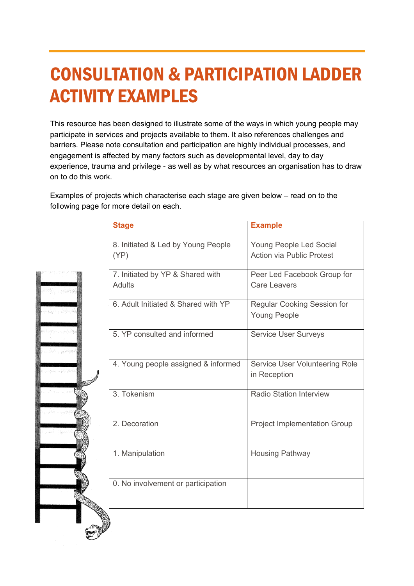# CONSULTATION & PARTICIPATION LADDER ACTIVITY EXAMPLES

This resource has been designed to illustrate some of the ways in which young people may participate in services and projects available to them. It also references challenges and barriers. Please note consultation and participation are highly individual processes, and engagement is affected by many factors such as developmental level, day to day experience, trauma and privilege - as well as by what resources an organisation has to draw on to do this work.

Examples of projects which characterise each stage are given below – read on to the following page for more detail on each.

| <b>Stage</b>                               | <b>Example</b>                                              |
|--------------------------------------------|-------------------------------------------------------------|
| 8. Initiated & Led by Young People<br>(YP) | Young People Led Social<br><b>Action via Public Protest</b> |
| 7. Initiated by YP & Shared with<br>Adults | Peer Led Facebook Group for<br>Care Leavers                 |
| 6. Adult Initiated & Shared with YP        | Regular Cooking Session for<br><b>Young People</b>          |
| 5. YP consulted and informed               | <b>Service User Surveys</b>                                 |
| 4. Young people assigned & informed        | Service User Volunteering Role<br>in Reception              |
| 3. Tokenism                                | <b>Radio Station Interview</b>                              |
| 2. Decoration                              | <b>Project Implementation Group</b>                         |
| 1. Manipulation                            | <b>Housing Pathway</b>                                      |
| 0. No involvement or participation         |                                                             |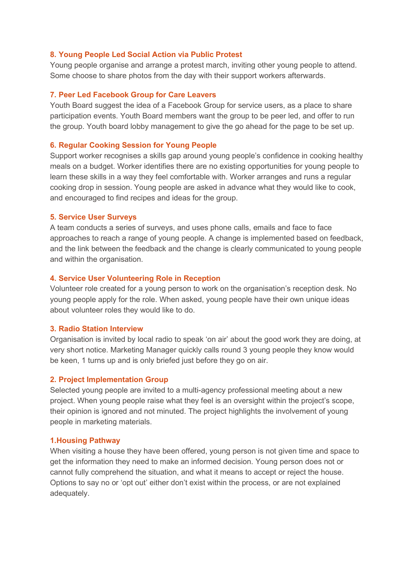#### **8. Young People Led Social Action via Public Protest**

Young people organise and arrange a protest march, inviting other young people to attend. Some choose to share photos from the day with their support workers afterwards.

#### **7. Peer Led Facebook Group for Care Leavers**

Youth Board suggest the idea of a Facebook Group for service users, as a place to share participation events. Youth Board members want the group to be peer led, and offer to run the group. Youth board lobby management to give the go ahead for the page to be set up.

#### **6. Regular Cooking Session for Young People**

Support worker recognises a skills gap around young people's confidence in cooking healthy meals on a budget. Worker identifies there are no existing opportunities for young people to learn these skills in a way they feel comfortable with. Worker arranges and runs a regular cooking drop in session. Young people are asked in advance what they would like to cook, and encouraged to find recipes and ideas for the group.

#### **5. Service User Surveys**

A team conducts a series of surveys, and uses phone calls, emails and face to face approaches to reach a range of young people. A change is implemented based on feedback, and the link between the feedback and the change is clearly communicated to young people and within the organisation.

#### **4. Service User Volunteering Role in Reception**

Volunteer role created for a young person to work on the organisation's reception desk. No young people apply for the role. When asked, young people have their own unique ideas about volunteer roles they would like to do.

#### **3. Radio Station Interview**

Organisation is invited by local radio to speak 'on air' about the good work they are doing, at very short notice. Marketing Manager quickly calls round 3 young people they know would be keen, 1 turns up and is only briefed just before they go on air.

#### **2. Project Implementation Group**

Selected young people are invited to a multi-agency professional meeting about a new project. When young people raise what they feel is an oversight within the project's scope, their opinion is ignored and not minuted. The project highlights the involvement of young people in marketing materials.

#### **1.Housing Pathway**

When visiting a house they have been offered, young person is not given time and space to get the information they need to make an informed decision. Young person does not or cannot fully comprehend the situation, and what it means to accept or reject the house. Options to say no or 'opt out' either don't exist within the process, or are not explained adequately.